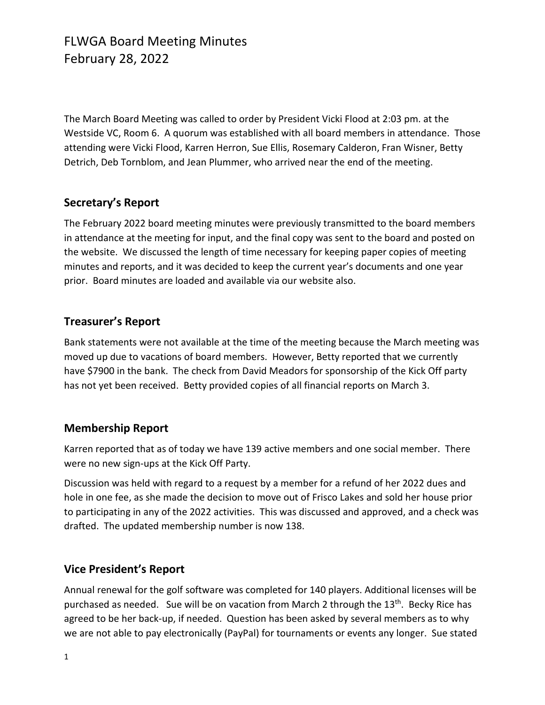# FLWGA Board Meeting Minutes February 28, 2022

The March Board Meeting was called to order by President Vicki Flood at 2:03 pm. at the Westside VC, Room 6. A quorum was established with all board members in attendance. Those attending were Vicki Flood, Karren Herron, Sue Ellis, Rosemary Calderon, Fran Wisner, Betty Detrich, Deb Tornblom, and Jean Plummer, who arrived near the end of the meeting.

### **Secretary's Report**

The February 2022 board meeting minutes were previously transmitted to the board members in attendance at the meeting for input, and the final copy was sent to the board and posted on the website. We discussed the length of time necessary for keeping paper copies of meeting minutes and reports, and it was decided to keep the current year's documents and one year prior. Board minutes are loaded and available via our website also.

### **Treasurer's Report**

Bank statements were not available at the time of the meeting because the March meeting was moved up due to vacations of board members. However, Betty reported that we currently have \$7900 in the bank. The check from David Meadors for sponsorship of the Kick Off party has not yet been received. Betty provided copies of all financial reports on March 3.

#### **Membership Report**

Karren reported that as of today we have 139 active members and one social member. There were no new sign-ups at the Kick Off Party.

Discussion was held with regard to a request by a member for a refund of her 2022 dues and hole in one fee, as she made the decision to move out of Frisco Lakes and sold her house prior to participating in any of the 2022 activities. This was discussed and approved, and a check was drafted. The updated membership number is now 138.

### **Vice President's Report**

Annual renewal for the golf software was completed for 140 players. Additional licenses will be purchased as needed. Sue will be on vacation from March 2 through the 13<sup>th</sup>. Becky Rice has agreed to be her back-up, if needed. Question has been asked by several members as to why we are not able to pay electronically (PayPal) for tournaments or events any longer. Sue stated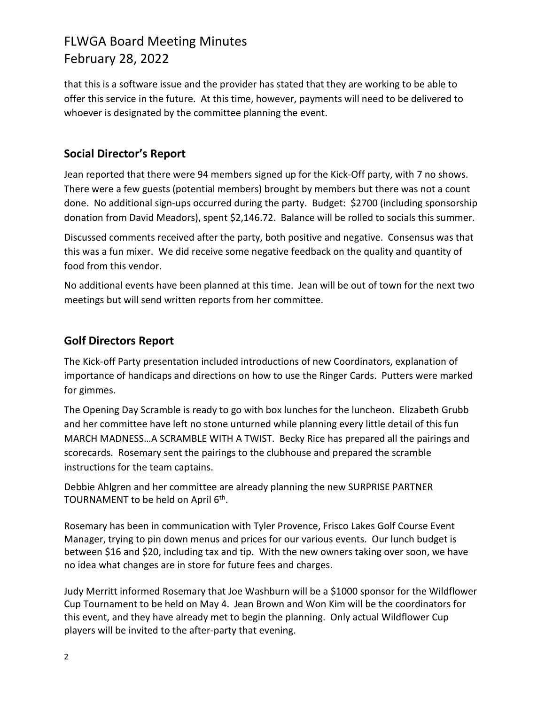# FLWGA Board Meeting Minutes February 28, 2022

that this is a software issue and the provider has stated that they are working to be able to offer this service in the future. At this time, however, payments will need to be delivered to whoever is designated by the committee planning the event.

### **Social Director's Report**

Jean reported that there were 94 members signed up for the Kick-Off party, with 7 no shows. There were a few guests (potential members) brought by members but there was not a count done. No additional sign-ups occurred during the party. Budget: \$2700 (including sponsorship donation from David Meadors), spent \$2,146.72. Balance will be rolled to socials this summer.

Discussed comments received after the party, both positive and negative. Consensus was that this was a fun mixer. We did receive some negative feedback on the quality and quantity of food from this vendor.

No additional events have been planned at this time. Jean will be out of town for the next two meetings but will send written reports from her committee.

## **Golf Directors Report**

The Kick-off Party presentation included introductions of new Coordinators, explanation of importance of handicaps and directions on how to use the Ringer Cards. Putters were marked for gimmes.

The Opening Day Scramble is ready to go with box lunches for the luncheon. Elizabeth Grubb and her committee have left no stone unturned while planning every little detail of this fun MARCH MADNESS…A SCRAMBLE WITH A TWIST. Becky Rice has prepared all the pairings and scorecards. Rosemary sent the pairings to the clubhouse and prepared the scramble instructions for the team captains.

Debbie Ahlgren and her committee are already planning the new SURPRISE PARTNER TOURNAMENT to be held on April 6<sup>th</sup>.

Rosemary has been in communication with Tyler Provence, Frisco Lakes Golf Course Event Manager, trying to pin down menus and prices for our various events. Our lunch budget is between \$16 and \$20, including tax and tip. With the new owners taking over soon, we have no idea what changes are in store for future fees and charges.

Judy Merritt informed Rosemary that Joe Washburn will be a \$1000 sponsor for the Wildflower Cup Tournament to be held on May 4. Jean Brown and Won Kim will be the coordinators for this event, and they have already met to begin the planning. Only actual Wildflower Cup players will be invited to the after-party that evening.